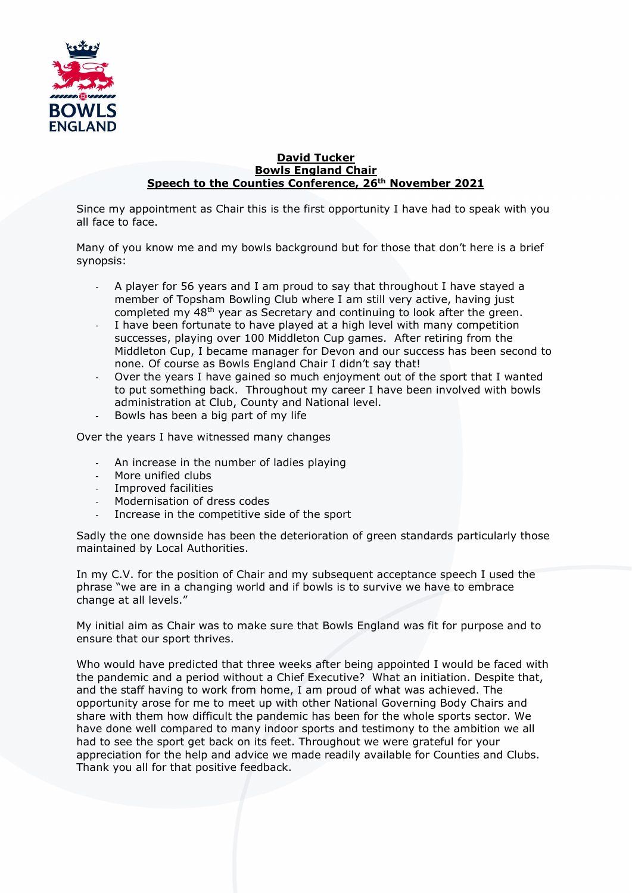

## David Tucker Bowls England Chair Speech to the Counties Conference, 26<sup>th</sup> November 2021

Since my appointment as Chair this is the first opportunity I have had to speak with you all face to face.

Many of you know me and my bowls background but for those that don't here is a brief synopsis:

- A player for 56 years and I am proud to say that throughout I have stayed a member of Topsham Bowling Club where I am still very active, having just completed my 48th year as Secretary and continuing to look after the green.
- I have been fortunate to have played at a high level with many competition successes, playing over 100 Middleton Cup games. After retiring from the Middleton Cup, I became manager for Devon and our success has been second to none. Of course as Bowls England Chair I didn't say that!
- Over the years I have gained so much enjoyment out of the sport that I wanted to put something back. Throughout my career I have been involved with bowls administration at Club, County and National level.
- Bowls has been a big part of my life

Over the years I have witnessed many changes

- An increase in the number of ladies playing
- More unified clubs
- Improved facilities
- Modernisation of dress codes
- Increase in the competitive side of the sport

Sadly the one downside has been the deterioration of green standards particularly those maintained by Local Authorities.

In my C.V. for the position of Chair and my subsequent acceptance speech I used the phrase "we are in a changing world and if bowls is to survive we have to embrace change at all levels."

My initial aim as Chair was to make sure that Bowls England was fit for purpose and to ensure that our sport thrives.

Who would have predicted that three weeks after being appointed I would be faced with the pandemic and a period without a Chief Executive? What an initiation. Despite that, and the staff having to work from home, I am proud of what was achieved. The opportunity arose for me to meet up with other National Governing Body Chairs and share with them how difficult the pandemic has been for the whole sports sector. We have done well compared to many indoor sports and testimony to the ambition we all had to see the sport get back on its feet. Throughout we were grateful for your appreciation for the help and advice we made readily available for Counties and Clubs. Thank you all for that positive feedback.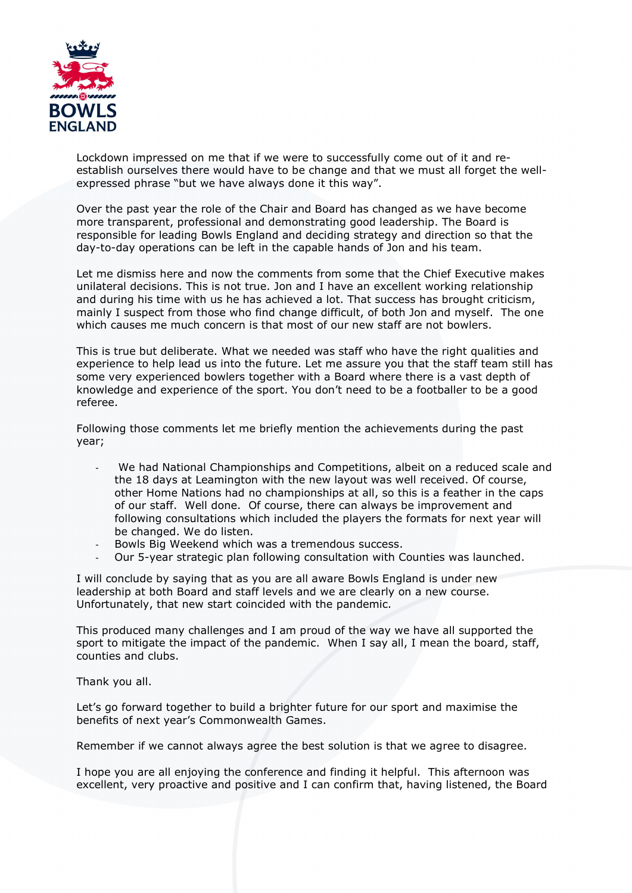

Lockdown impressed on me that if we were to successfully come out of it and reestablish ourselves there would have to be change and that we must all forget the wellexpressed phrase "but we have always done it this way".

Over the past year the role of the Chair and Board has changed as we have become more transparent, professional and demonstrating good leadership. The Board is responsible for leading Bowls England and deciding strategy and direction so that the day-to-day operations can be left in the capable hands of Jon and his team.

Let me dismiss here and now the comments from some that the Chief Executive makes unilateral decisions. This is not true. Jon and I have an excellent working relationship and during his time with us he has achieved a lot. That success has brought criticism, mainly I suspect from those who find change difficult, of both Jon and myself. The one which causes me much concern is that most of our new staff are not bowlers.

This is true but deliberate. What we needed was staff who have the right qualities and experience to help lead us into the future. Let me assure you that the staff team still has some very experienced bowlers together with a Board where there is a vast depth of knowledge and experience of the sport. You don't need to be a footballer to be a good referee.

Following those comments let me briefly mention the achievements during the past year;

- We had National Championships and Competitions, albeit on a reduced scale and the 18 days at Leamington with the new layout was well received. Of course, other Home Nations had no championships at all, so this is a feather in the caps of our staff. Well done. Of course, there can always be improvement and following consultations which included the players the formats for next year will be changed. We do listen.
- Bowls Big Weekend which was a tremendous success.
- Our 5-year strategic plan following consultation with Counties was launched.

I will conclude by saying that as you are all aware Bowls England is under new leadership at both Board and staff levels and we are clearly on a new course. Unfortunately, that new start coincided with the pandemic.

This produced many challenges and I am proud of the way we have all supported the sport to mitigate the impact of the pandemic. When I say all, I mean the board, staff, counties and clubs.

Thank you all.

Let's go forward together to build a brighter future for our sport and maximise the benefits of next year's Commonwealth Games.

Remember if we cannot always agree the best solution is that we agree to disagree.

I hope you are all enjoying the conference and finding it helpful. This afternoon was excellent, very proactive and positive and I can confirm that, having listened, the Board